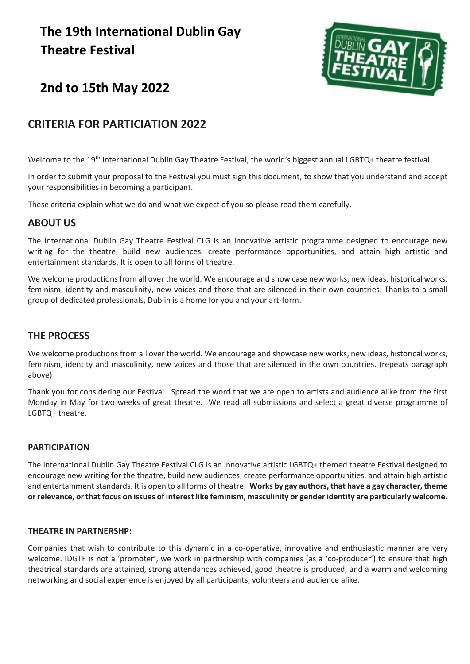# **The 19th International Dublin Gay Theatre Festival**



# **2nd to 15th May 2022**

# **CRITERIA FOR PARTICIATION 2022**

Welcome to the 19<sup>th</sup> International Dublin Gay Theatre Festival, the world's biggest annual LGBTQ+ theatre festival.

In order to submit your proposal to the Festival you must sign this document, to show that you understand and accept your responsibilities in becoming a participant.

These criteria explain what we do and what we expect of you so please read them carefully.

# **ABOUT US**

The International Dublin Gay Theatre Festival CLG is an innovative artistic programme designed to encourage new writing for the theatre, build new audiences, create performance opportunities, and attain high artistic and entertainment standards. It is open to all forms of theatre.

We welcome productions from all over the world. We encourage and show case new works, new ideas, historical works, feminism, identity and masculinity, new voices and those that are silenced in their own countries. Thanks to a small group of dedicated professionals, Dublin is a home for you and your art-form.

# **THE PROCESS**

We welcome productions from all over the world. We encourage and showcase new works, new ideas, historical works, feminism, identity and masculinity, new voices and those that are silenced in the own countries. (repeats paragraph above)

Thank you for considering our Festival. Spread the word that we are open to artists and audience alike from the first Monday in May for two weeks of great theatre. We read all submissions and select a great diverse programme of LGBTQ+ theatre.

# **PARTICIPATION**

The International Dublin Gay Theatre Festival CLG is an innovative artistic LGBTQ+ themed theatre Festival designed to encourage new writing for the theatre, build new audiences, create performance opportunities, and attain high artistic and entertainment standards. It is open to all forms of theatre. **Works by gay authors, that have a gay character, theme or relevance, or that focus on issues of interest like feminism, masculinity or gender identity are particularly welcome**.

# **THEATRE IN PARTNERSHP:**

Companies that wish to contribute to this dynamic in a co-operative, innovative and enthusiastic manner are very welcome. IDGTF is not a 'promoter', we work in partnership with companies (as a 'co-producer') to ensure that high theatrical standards are attained, strong attendances achieved, good theatre is produced, and a warm and welcoming networking and social experience is enjoyed by all participants, volunteers and audience alike.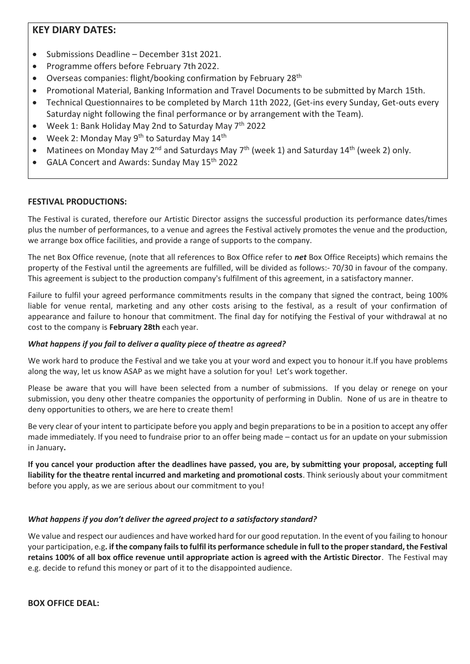# **KEY DIARY DATES:**

- Submissions Deadline December 31st 2021.
- Programme offers before February 7th 2022.
- Overseas companies: flight/booking confirmation by February 28th
- Promotional Material, Banking Information and Travel Documents to be submitted by March 15th.
- Technical Questionnaires to be completed by March 11th 2022, (Get-ins every Sunday, Get-outs every Saturday night following the final performance or by arrangement with the Team).
- Week 1: Bank Holiday May 2nd to Saturday May 7th 2022
- Week 2: Monday May  $9^{th}$  to Saturday May 14<sup>th</sup>
- Matinees on Monday May 2<sup>nd</sup> and Saturdays May  $7<sup>th</sup>$  (week 1) and Saturday 14<sup>th</sup> (week 2) only.
- GALA Concert and Awards: Sunday May 15<sup>th</sup> 2022

# **FESTIVAL PRODUCTIONS:**

The Festival is curated, therefore our Artistic Director assigns the successful production its performance dates/times plus the number of performances, to a venue and agrees the Festival actively promotes the venue and the production, we arrange box office facilities, and provide a range of supports to the company.

The net Box Office revenue, (note that all references to Box Office refer to *net* Box Office Receipts) which remains the property of the Festival until the agreements are fulfilled, will be divided as follows:- 70/30 in favour of the company. This agreement is subject to the production company's fulfilment of this agreement, in a satisfactory manner.

Failure to fulfil your agreed performance commitments results in the company that signed the contract, being 100% liable for venue rental, marketing and any other costs arising to the festival, as a result of your confirmation of appearance and failure to honour that commitment. The final day for notifying the Festival of your withdrawal at no cost to the company is **February 28th** each year.

# *What happens if you fail to deliver a quality piece of theatre as agreed?*

We work hard to produce the Festival and we take you at your word and expect you to honour it.If you have problems along the way, let us know ASAP as we might have a solution for you! Let's work together.

Please be aware that you will have been selected from a number of submissions. If you delay or renege on your submission, you deny other theatre companies the opportunity of performing in Dublin. None of us are in theatre to deny opportunities to others, we are here to create them!

Be very clear of your intent to participate before you apply and begin preparations to be in a position to accept any offer made immediately. If you need to fundraise prior to an offer being made – contact us for an update on your submission in January**.** 

**If you cancel your production after the deadlines have passed, you are, by submitting your proposal, accepting full liability for the theatre rental incurred and marketing and promotional costs**. Think seriously about your commitment before you apply, as we are serious about our commitment to you!

# *What happens if you don't deliver the agreed project to a satisfactory standard?*

We value and respect our audiences and have worked hard for our good reputation. In the event of you failing to honour your participation, e.g**. if the company fails to fulfil its performance schedule in full to the proper standard, the Festival retains 100% of all box office revenue until appropriate action is agreed with the Artistic Director**. The Festival may e.g. decide to refund this money or part of it to the disappointed audience.

**BOX OFFICE DEAL:**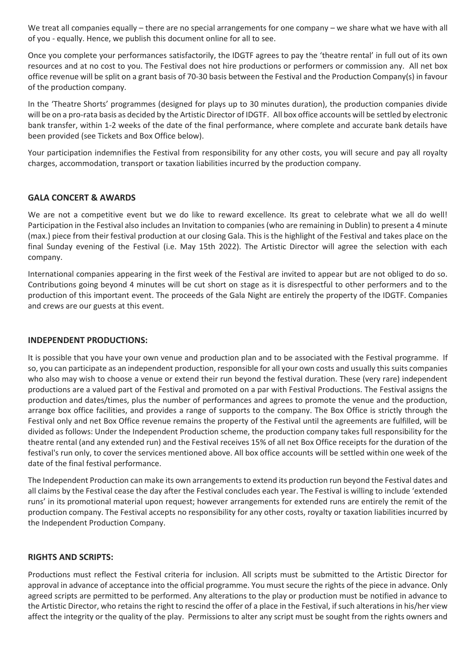We treat all companies equally – there are no special arrangements for one company – we share what we have with all of you - equally. Hence, we publish this document online for all to see.

Once you complete your performances satisfactorily, the IDGTF agrees to pay the 'theatre rental' in full out of its own resources and at no cost to you. The Festival does not hire productions or performers or commission any. All net box office revenue will be split on a grant basis of 70-30 basis between the Festival and the Production Company(s) in favour of the production company.

In the 'Theatre Shorts' programmes (designed for plays up to 30 minutes duration), the production companies divide will be on a pro-rata basis as decided by the Artistic Director of IDGTF. All box office accounts will be settled by electronic bank transfer, within 1-2 weeks of the date of the final performance, where complete and accurate bank details have been provided (see Tickets and Box Office below).

Your participation indemnifies the Festival from responsibility for any other costs, you will secure and pay all royalty charges, accommodation, transport or taxation liabilities incurred by the production company.

# **GALA CONCERT & AWARDS**

We are not a competitive event but we do like to reward excellence. Its great to celebrate what we all do well! Participation in the Festival also includes an Invitation to companies (who are remaining in Dublin) to present a 4 minute (max.) piece from their festival production at our closing Gala. This is the highlight of the Festival and takes place on the final Sunday evening of the Festival (i.e. May 15th 2022). The Artistic Director will agree the selection with each company.

International companies appearing in the first week of the Festival are invited to appear but are not obliged to do so. Contributions going beyond 4 minutes will be cut short on stage as it is disrespectful to other performers and to the production of this important event. The proceeds of the Gala Night are entirely the property of the IDGTF. Companies and crews are our guests at this event.

# **INDEPENDENT PRODUCTIONS:**

It is possible that you have your own venue and production plan and to be associated with the Festival programme. If so, you can participate as an independent production, responsible for all your own costs and usually this suits companies who also may wish to choose a venue or extend their run beyond the festival duration. These (very rare) independent productions are a valued part of the Festival and promoted on a par with Festival Productions. The Festival assigns the production and dates/times, plus the number of performances and agrees to promote the venue and the production, arrange box office facilities, and provides a range of supports to the company. The Box Office is strictly through the Festival only and net Box Office revenue remains the property of the Festival until the agreements are fulfilled, will be divided as follows: Under the Independent Production scheme, the production company takes full responsibility for the theatre rental (and any extended run) and the Festival receives 15% of all net Box Office receipts for the duration of the festival's run only, to cover the services mentioned above. All box office accounts will be settled within one week of the date of the final festival performance.

The Independent Production can make its own arrangements to extend its production run beyond the Festival dates and all claims by the Festival cease the day after the Festival concludes each year. The Festival is willing to include 'extended runs' in its promotional material upon request; however arrangements for extended runs are entirely the remit of the production company. The Festival accepts no responsibility for any other costs, royalty or taxation liabilities incurred by the Independent Production Company.

# **RIGHTS AND SCRIPTS:**

Productions must reflect the Festival criteria for inclusion. All scripts must be submitted to the Artistic Director for approval in advance of acceptance into the official programme. You must secure the rights of the piece in advance. Only agreed scripts are permitted to be performed. Any alterations to the play or production must be notified in advance to the Artistic Director, who retains the right to rescind the offer of a place in the Festival, if such alterations in his/her view affect the integrity or the quality of the play. Permissions to alter any script must be sought from the rights owners and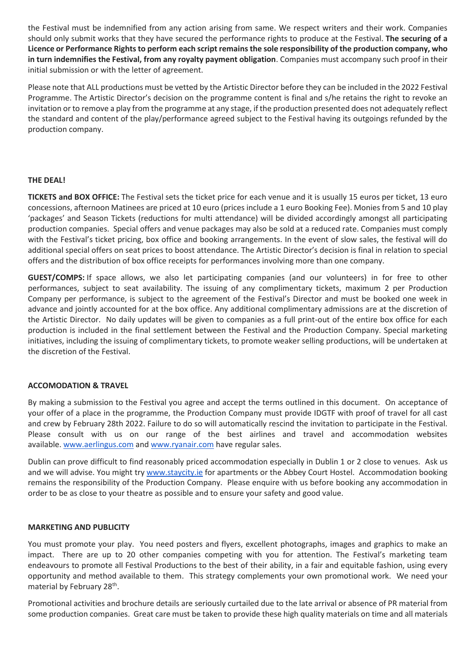the Festival must be indemnified from any action arising from same. We respect writers and their work. Companies should only submit works that they have secured the performance rights to produce at the Festival. **The securing of a Licence or Performance Rights to perform each script remains the sole responsibility of the production company, who in turn indemnifies the Festival, from any royalty payment obligation**. Companies must accompany such proof in their initial submission or with the letter of agreement.

Please note that ALL productions must be vetted by the Artistic Director before they can be included in the 2022 Festival Programme. The Artistic Director's decision on the programme content is final and s/he retains the right to revoke an invitation or to remove a play from the programme at any stage, if the production presented does not adequately reflect the standard and content of the play/performance agreed subject to the Festival having its outgoings refunded by the production company.

# **THE DEAL!**

**TICKETS and BOX OFFICE:** The Festival sets the ticket price for each venue and it is usually 15 euros per ticket, 13 euro concessions, afternoon Matinees are priced at 10 euro (prices include a 1 euro Booking Fee). Monies from 5 and 10 play 'packages' and Season Tickets (reductions for multi attendance) will be divided accordingly amongst all participating production companies. Special offers and venue packages may also be sold at a reduced rate. Companies must comply with the Festival's ticket pricing, box office and booking arrangements. In the event of slow sales, the festival will do additional special offers on seat prices to boost attendance. The Artistic Director's decision is final in relation to special offers and the distribution of box office receipts for performances involving more than one company.

**GUEST/COMPS:** If space allows, we also let participating companies (and our volunteers) in for free to other performances, subject to seat availability. The issuing of any complimentary tickets, maximum 2 per Production Company per performance, is subject to the agreement of the Festival's Director and must be booked one week in advance and jointly accounted for at the box office. Any additional complimentary admissions are at the discretion of the Artistic Director. No daily updates will be given to companies as a full print-out of the entire box office for each production is included in the final settlement between the Festival and the Production Company. Special marketing initiatives, including the issuing of complimentary tickets, to promote weaker selling productions, will be undertaken at the discretion of the Festival.

#### **ACCOMODATION & TRAVEL**

By making a submission to the Festival you agree and accept the terms outlined in this document. On acceptance of your offer of a place in the programme, the Production Company must provide IDGTF with proof of travel for all cast and crew by February 28th 2022. Failure to do so will automatically rescind the invitation to participate in the Festival. Please consult with us on our range of the best airlines and travel and accommodation websites available. [www.aerlingus.com](http://www.aerlingus.com/) and [www.ryanair.com](http://www.ryanair.com/) have regular sales.

Dublin can prove difficult to find reasonably priced accommodation especially in Dublin 1 or 2 close to venues. Ask us and we will advise. You might try [www.staycity.ie](http://www.staycity.ie/) for apartments or the Abbey Court Hostel. Accommodation booking remains the responsibility of the Production Company. Please enquire with us before booking any accommodation in order to be as close to your theatre as possible and to ensure your safety and good value.

#### **MARKETING AND PUBLICITY**

You must promote your play. You need posters and flyers, excellent photographs, images and graphics to make an impact. There are up to 20 other companies competing with you for attention. The Festival's marketing team endeavours to promote all Festival Productions to the best of their ability, in a fair and equitable fashion, using every opportunity and method available to them. This strategy complements your own promotional work. We need your material by February 28<sup>th</sup>.

Promotional activities and brochure details are seriously curtailed due to the late arrival or absence of PR material from some production companies. Great care must be taken to provide these high quality materials on time and all materials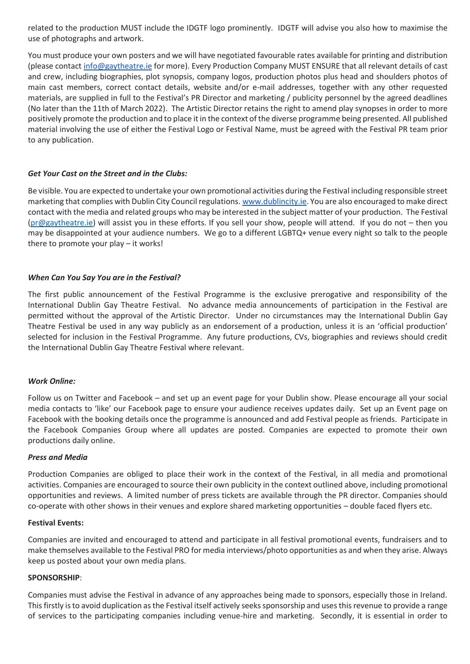related to the production MUST include the IDGTF logo prominently. IDGTF will advise you also how to maximise the use of photographs and artwork.

You must produce your own posters and we will have negotiated favourable rates available for printing and distribution (please contact [info@gaytheatre.ie](mailto:info@gaytheatre.ie) for more). Every Production Company MUST ENSURE that all relevant details of cast and crew, including biographies, plot synopsis, company logos, production photos plus head and shoulders photos of main cast members, correct contact details, website and/or e-mail addresses, together with any other requested materials, are supplied in full to the Festival's PR Director and marketing / publicity personnel by the agreed deadlines (No later than the 11th of March 2022). The Artistic Director retains the right to amend play synopses in order to more positively promote the production and to place it in the context of the diverse programme being presented. All published material involving the use of either the Festival Logo or Festival Name, must be agreed with the Festival PR team prior to any publication.

# *Get Your Cast on the Street and in the Clubs:*

Be visible. You are expected to undertake your own promotional activities during the Festival including responsible street marketing that complies with Dublin City Council regulations. [www.dublincity.ie.](http://www.dublincity.ie/) You are also encouraged to make direct contact with the media and related groups who may be interested in the subject matter of your production. The Festival [\(pr@gaytheatre.ie\)](mailto:pr@gaytheatre.ie) will assist you in these efforts. If you sell your show, people will attend. If you do not – then you may be disappointed at your audience numbers. We go to a different LGBTQ+ venue every night so talk to the people there to promote your play – it works!

# *When Can You Say You are in the Festival?*

The first public announcement of the Festival Programme is the exclusive prerogative and responsibility of the International Dublin Gay Theatre Festival. No advance media announcements of participation in the Festival are permitted without the approval of the Artistic Director. Under no circumstances may the International Dublin Gay Theatre Festival be used in any way publicly as an endorsement of a production, unless it is an 'official production' selected for inclusion in the Festival Programme. Any future productions, CVs, biographies and reviews should credit the International Dublin Gay Theatre Festival where relevant.

# *Work Online:*

Follow us on Twitter and Facebook – and set up an event page for your Dublin show. Please encourage all your social media contacts to 'like' our Facebook page to ensure your audience receives updates daily. Set up an Event page on Facebook with the booking details once the programme is announced and add Festival people as friends. Participate in the Facebook Companies Group where all updates are posted. Companies are expected to promote their own productions daily online.

# *Press and Media*

Production Companies are obliged to place their work in the context of the Festival, in all media and promotional activities. Companies are encouraged to source their own publicity in the context outlined above, including promotional opportunities and reviews. A limited number of press tickets are available through the PR director. Companies should co-operate with other shows in their venues and explore shared marketing opportunities – double faced flyers etc.

# **Festival Events:**

Companies are invited and encouraged to attend and participate in all festival promotional events, fundraisers and to make themselves available to the Festival PRO for media interviews/photo opportunities as and when they arise. Always keep us posted about your own media plans.

# **SPONSORSHIP**:

Companies must advise the Festival in advance of any approaches being made to sponsors, especially those in Ireland. This firstly is to avoid duplication as the Festival itself actively seeks sponsorship and uses this revenue to provide a range of services to the participating companies including venue-hire and marketing. Secondly, it is essential in order to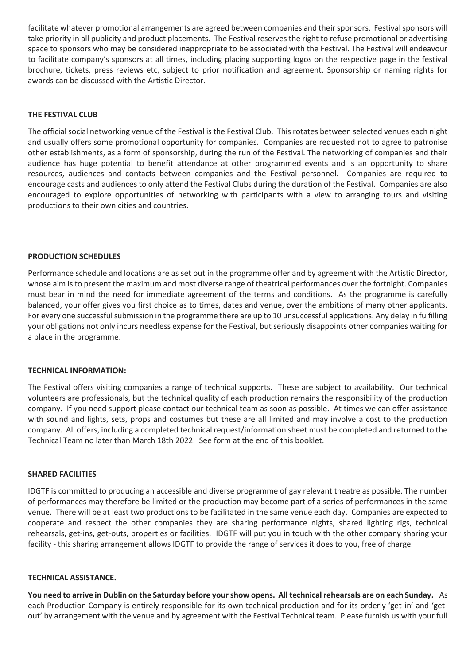facilitate whatever promotional arrangements are agreed between companies and their sponsors. Festival sponsors will take priority in all publicity and product placements. The Festival reserves the right to refuse promotional or advertising space to sponsors who may be considered inappropriate to be associated with the Festival. The Festival will endeavour to facilitate company's sponsors at all times, including placing supporting logos on the respective page in the festival brochure, tickets, press reviews etc, subject to prior notification and agreement. Sponsorship or naming rights for awards can be discussed with the Artistic Director.

# **THE FESTIVAL CLUB**

The official social networking venue of the Festival is the Festival Club. This rotates between selected venues each night and usually offers some promotional opportunity for companies. Companies are requested not to agree to patronise other establishments, as a form of sponsorship, during the run of the Festival. The networking of companies and their audience has huge potential to benefit attendance at other programmed events and is an opportunity to share resources, audiences and contacts between companies and the Festival personnel. Companies are required to encourage casts and audiences to only attend the Festival Clubs during the duration of the Festival. Companies are also encouraged to explore opportunities of networking with participants with a view to arranging tours and visiting productions to their own cities and countries.

#### **PRODUCTION SCHEDULES**

Performance schedule and locations are as set out in the programme offer and by agreement with the Artistic Director, whose aim is to present the maximum and most diverse range of theatrical performances over the fortnight. Companies must bear in mind the need for immediate agreement of the terms and conditions. As the programme is carefully balanced, your offer gives you first choice as to times, dates and venue, over the ambitions of many other applicants. For every one successful submission in the programme there are up to 10 unsuccessful applications. Any delay in fulfilling your obligations not only incurs needless expense for the Festival, but seriously disappoints other companies waiting for a place in the programme.

#### **TECHNICAL INFORMATION:**

The Festival offers visiting companies a range of technical supports. These are subject to availability. Our technical volunteers are professionals, but the technical quality of each production remains the responsibility of the production company. If you need support please contact our technical team as soon as possible. At times we can offer assistance with sound and lights, sets, props and costumes but these are all limited and may involve a cost to the production company. All offers, including a completed technical request/information sheet must be completed and returned to the Technical Team no later than March 18th 2022. See form at the end of this booklet.

#### **SHARED FACILITIES**

IDGTF is committed to producing an accessible and diverse programme of gay relevant theatre as possible. The number of performances may therefore be limited or the production may become part of a series of performances in the same venue. There will be at least two productions to be facilitated in the same venue each day. Companies are expected to cooperate and respect the other companies they are sharing performance nights, shared lighting rigs, technical rehearsals, get-ins, get-outs, properties or facilities. IDGTF will put you in touch with the other company sharing your facility - this sharing arrangement allows IDGTF to provide the range of services it does to you, free of charge.

#### **TECHNICAL ASSISTANCE.**

**You need to arrive in Dublin on the Saturday before your show opens. All technical rehearsals are on each Sunday.** As each Production Company is entirely responsible for its own technical production and for its orderly 'get-in' and 'getout' by arrangement with the venue and by agreement with the Festival Technical team. Please furnish us with your full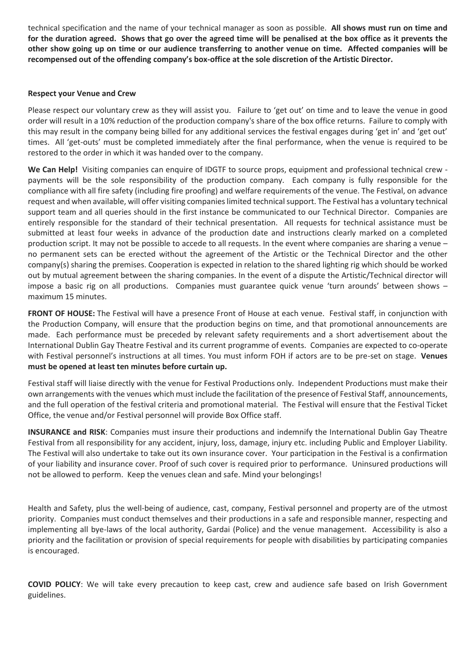technical specification and the name of your technical manager as soon as possible. **All shows must run on time and for the duration agreed. Shows that go over the agreed time will be penalised at the box office as it prevents the other show going up on time or our audience transferring to another venue on time. Affected companies will be recompensed out of the offending company's box-office at the sole discretion of the Artistic Director.**

# **Respect your Venue and Crew**

Please respect our voluntary crew as they will assist you. Failure to 'get out' on time and to leave the venue in good order will result in a 10% reduction of the production company's share of the box office returns. Failure to comply with this may result in the company being billed for any additional services the festival engages during 'get in' and 'get out' times. All 'get-outs' must be completed immediately after the final performance, when the venue is required to be restored to the order in which it was handed over to the company.

**We Can Help!** Visiting companies can enquire of IDGTF to source props, equipment and professional technical crew payments will be the sole responsibility of the production company. Each company is fully responsible for the compliance with all fire safety (including fire proofing) and welfare requirements of the venue. The Festival, on advance request and when available, will offer visiting companies limited technical support. The Festival has a voluntary technical support team and all queries should in the first instance be communicated to our Technical Director. Companies are entirely responsible for the standard of their technical presentation. All requests for technical assistance must be submitted at least four weeks in advance of the production date and instructions clearly marked on a completed production script. It may not be possible to accede to all requests. In the event where companies are sharing a venue – no permanent sets can be erected without the agreement of the Artistic or the Technical Director and the other company(s) sharing the premises. Cooperation is expected in relation to the shared lighting rig which should be worked out by mutual agreement between the sharing companies. In the event of a dispute the Artistic/Technical director will impose a basic rig on all productions. Companies must guarantee quick venue 'turn arounds' between shows – maximum 15 minutes.

**FRONT OF HOUSE:** The Festival will have a presence Front of House at each venue. Festival staff, in conjunction with the Production Company, will ensure that the production begins on time, and that promotional announcements are made. Each performance must be preceded by relevant safety requirements and a short advertisement about the International Dublin Gay Theatre Festival and its current programme of events. Companies are expected to co-operate with Festival personnel's instructions at all times. You must inform FOH if actors are to be pre-set on stage. **Venues must be opened at least ten minutes before curtain up.**

Festival staff will liaise directly with the venue for Festival Productions only. Independent Productions must make their own arrangements with the venues which must include the facilitation of the presence of Festival Staff, announcements, and the full operation of the festival criteria and promotional material. The Festival will ensure that the Festival Ticket Office, the venue and/or Festival personnel will provide Box Office staff.

**INSURANCE and RISK**: Companies must insure their productions and indemnify the International Dublin Gay Theatre Festival from all responsibility for any accident, injury, loss, damage, injury etc. including Public and Employer Liability. The Festival will also undertake to take out its own insurance cover. Your participation in the Festival is a confirmation of your liability and insurance cover. Proof of such cover is required prior to performance. Uninsured productions will not be allowed to perform. Keep the venues clean and safe. Mind your belongings!

Health and Safety, plus the well-being of audience, cast, company, Festival personnel and property are of the utmost priority. Companies must conduct themselves and their productions in a safe and responsible manner, respecting and implementing all bye-laws of the local authority, Gardai (Police) and the venue management. Accessibility is also a priority and the facilitation or provision of special requirements for people with disabilities by participating companies is encouraged.

**COVID POLICY**: We will take every precaution to keep cast, crew and audience safe based on Irish Government guidelines.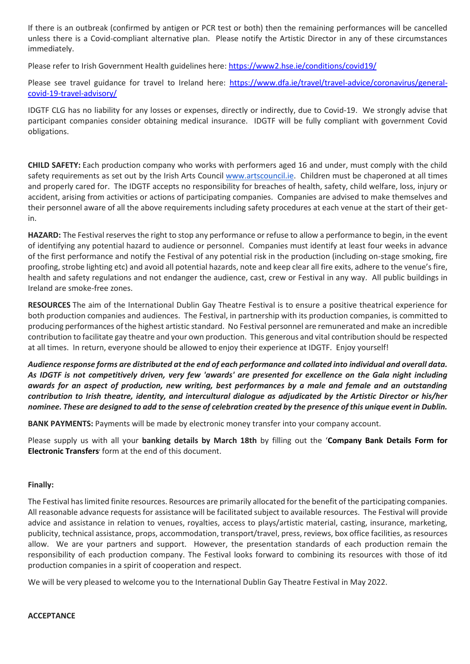If there is an outbreak (confirmed by antigen or PCR test or both) then the remaining performances will be cancelled unless there is a Covid-compliant alternative plan. Please notify the Artistic Director in any of these circumstances immediately.

Please refer to Irish Government Health guidelines here[: https://www2.hse.ie/conditions/covid19/](https://www2.hse.ie/conditions/covid19/)

Please see travel guidance for travel to Ireland here: [https://www.dfa.ie/travel/travel-advice/coronavirus/general](https://www.dfa.ie/travel/travel-advice/coronavirus/general-covid-19-travel-advisory/)[covid-19-travel-advisory/](https://www.dfa.ie/travel/travel-advice/coronavirus/general-covid-19-travel-advisory/)

IDGTF CLG has no liability for any losses or expenses, directly or indirectly, due to Covid-19. We strongly advise that participant companies consider obtaining medical insurance. IDGTF will be fully compliant with government Covid obligations.

**CHILD SAFETY:** Each production company who works with performers aged 16 and under, must comply with the child safety requirements as set out by the Irish Arts Council [www.artscouncil.ie.](http://www.artscouncil.ie/) Children must be chaperoned at all times and properly cared for. The IDGTF accepts no responsibility for breaches of health, safety, child welfare, loss, injury or accident, arising from activities or actions of participating companies. Companies are advised to make themselves and their personnel aware of all the above requirements including safety procedures at each venue at the start of their getin.

**HAZARD:** The Festival reserves the right to stop any performance or refuse to allow a performance to begin, in the event of identifying any potential hazard to audience or personnel. Companies must identify at least four weeks in advance of the first performance and notify the Festival of any potential risk in the production (including on-stage smoking, fire proofing, strobe lighting etc) and avoid all potential hazards, note and keep clear all fire exits, adhere to the venue's fire, health and safety regulations and not endanger the audience, cast, crew or Festival in any way. All public buildings in Ireland are smoke-free zones.

**RESOURCES** The aim of the International Dublin Gay Theatre Festival is to ensure a positive theatrical experience for both production companies and audiences. The Festival, in partnership with its production companies, is committed to producing performances of the highest artistic standard. No Festival personnel are remunerated and make an incredible contribution to facilitate gay theatre and your own production. This generous and vital contribution should be respected at all times. In return, everyone should be allowed to enjoy their experience at IDGTF. Enjoy yourself!

*Audience response forms are distributed at the end of each performance and collated into individual and overall data. As IDGTF is not competitively driven, very few 'awards' are presented for excellence on the Gala night including awards for an aspect of production, new writing, best performances by a male and female and an outstanding contribution to Irish theatre, identity, and intercultural dialogue as adjudicated by the Artistic Director or his/her nominee. These are designed to add to the sense of celebration created by the presence of this unique event in Dublin.*

**BANK PAYMENTS:** Payments will be made by electronic money transfer into your company account.

Please supply us with all your **banking details by March 18th** by filling out the '**Company Bank Details Form for Electronic Transfers**' form at the end of this document.

# **Finally:**

The Festival has limited finite resources. Resources are primarily allocated for the benefit of the participating companies. All reasonable advance requests for assistance will be facilitated subject to available resources. The Festival will provide advice and assistance in relation to venues, royalties, access to plays/artistic material, casting, insurance, marketing, publicity, technical assistance, props, accommodation, transport/travel, press, reviews, box office facilities, as resources allow. We are your partners and support. However, the presentation standards of each production remain the responsibility of each production company. The Festival looks forward to combining its resources with those of itd production companies in a spirit of cooperation and respect.

We will be very pleased to welcome you to the International Dublin Gay Theatre Festival in May 2022.